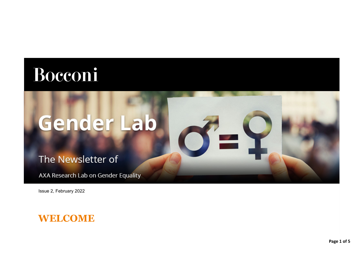# Bocconi

# Gender Lab

**ODER** 

The Newsletter of

AXA Research Lab on Gender Equality

Issue 2, February 2022

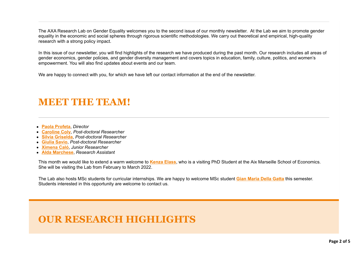The AXA Research Lab on Gender Equality welcomes you to the second issue of our monthly newsletter. At the Lab we aim to promote gender equality in the economic and social spheres through rigorous scientific methodologies. We carry out theoretical and empirical, high-quality research with a strong policy impact.

In this issue of our newsletter, you will find highlights of the research we have produced during the past month. Our research includes all areas of gender economics, gender policies, and gender diversity management and covers topics in education, family, culture, politics, and women's empowerment. You will also find updates about events and our team.

We are happy to connect with you, for which we have left our contact information at the end of the newsletter.

## **MEET THE TEAM!**

- **[Paola Profeta](https://genderlab.unibocconi.eu/people/paola-profeta)**, *Director*
- **[Caroline Coly](https://genderlab.unibocconi.eu/people/caroline-coly)**, *Post-doctoral Researcher*
- **[Silvia Griselda](https://genderlab.unibocconi.eu/people/silvia-griselda)**, *Post-doctoral Researcher*
- **[Giulia Savio](https://genderlab.unibocconi.eu/people/giulia-savio)**, *Post-doctoral Researcher*
- **[Ximena Caló](https://genderlab.unibocconi.eu/people/ximena-calo)**, *Junior Researcher*
- **[Alda Marchese](https://genderlab.unibocconi.eu/people/alda-marchese)**, *Research Assistant*

This month we would like to extend a warm welcome to **[Kenza Elass](https://eur03.safelinks.protection.outlook.com/?url=https%3A%2F%2Fwww.amse-aixmarseille.fr%2Fen%2Fmembers%2Felass&data=04%7C01%7Cximena.calo%40unibocconi.it%7C16282814d5da43fff93008d9facaffa6%7C6bf3b57a9fb447c29ada51156518f52f%7C1%7C0%7C637816572054540326%7CUnknown%7CTWFpbGZsb3d8eyJWIjoiMC4wLjAwMDAiLCJQIjoiV2luMzIiLCJBTiI6Ik1haWwiLCJXVCI6Mn0%3D%7C3000&sdata=Atajj6%2BuohIfXZTg%2BR60kWW4vqvmtDU38An0Fh%2BN53o%3D&reserved=0)**, who is a visiting PhD Student at the Aix Marseille School of Economics. She will be visiting the Lab from February to March 2022.

The Lab also hosts MSc students for curricular internships. We are happy to welcome MSc student **[Gian Maria Della Gatta](https://genderlab.unibocconi.eu/people/intern-and-students)** this semester. Students interested in this opportunity are welcome to contact us.

# **OUR RESEARCH HIGHLIGHTS**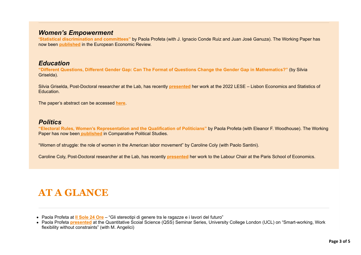### *Women's Empowerment*

**'Statistical discrimination and committees"** by Paola Profeta (with J. Ignacio Conde Ruiz and Juan José Ganuza). The Working Paper has now been **[published](https://genderlab.unibocconi.eu/sites/default/files/media/attach/Statistical%20Discrimination%20and%20Committes.pdf?VersionId=KkHcaOXuOuHVU08iG8IC7nhIKpVwV4L0)** in the European Economic Review.

### *Education*

**"Different Questions, Different Gender Gap: Can The Format of Questions Change the Gender Gap in Mathematics?"** (by Silvia Griselda).

Silvia Griselda, Post-Doctoral researcher at the Lab, has recently **[presented](https://eur03.safelinks.protection.outlook.com/?url=https%3A%2F%2Flese-conference.org%2F&data=04%7C01%7Cximena.calo%40unibocconi.it%7C16282814d5da43fff93008d9facaffa6%7C6bf3b57a9fb447c29ada51156518f52f%7C1%7C0%7C637816572054540326%7CUnknown%7CTWFpbGZsb3d8eyJWIjoiMC4wLjAwMDAiLCJQIjoiV2luMzIiLCJBTiI6Ik1haWwiLCJXVCI6Mn0%3D%7C3000&sdata=3Nx73pmTb%2FDkNqezp%2Fu%2BFUSj0iAtcU5PNivxaDWUNfM%3D&reserved=0)** her work at the 2022 LESE – Lisbon Economics and Statistics of **Education** 

The paper's abstract can be accessed **[here](https://genderlab.unibocconi.eu/research/education/gender-gap-math-what-are-we-measuring)**.

### *Politics*

**"Electoral Rules, Women's Representation and the Qualification of Politicians"** by Paola Profeta (with Eleanor F. Woodhouse). The Working Paper has now been **[published](https://genderlab.unibocconi.eu/sites/default/files/media/attach/Electoral%20rules%2C%20women%27s%20representation%20and%20the%20qualification%20of%20politicians.pdf?VersionId=bsMP8OAAUfQjnJv6.ydRMQgx3vs1gEUp)** in Comparative Political Studies.

"Women of struggle: the role of women in the American labor movement" by Caroline Coly (with Paolo Santini).

Caroline Coly, Post-Doctoral researcher at the Lab, has recently **[presented](https://genderlab.unibocconi.eu/news-and-participations)** her work to the Labour Chair at the Paris School of Economics.

# **AT A GLANCE**

- Paola Profeta at **[Il Sole 24 Ore](https://eur03.safelinks.protection.outlook.com/?url=https%3A%2F%2Fwww.ilsole24ore.com%2Fart%2Fgli-stereotipi-genere-le-ragazze-e-lavori-futuro-AEmf7HDB&data=04%7C01%7Cximena.calo%40unibocconi.it%7C16282814d5da43fff93008d9facaffa6%7C6bf3b57a9fb447c29ada51156518f52f%7C1%7C0%7C637816572054540326%7CUnknown%7CTWFpbGZsb3d8eyJWIjoiMC4wLjAwMDAiLCJQIjoiV2luMzIiLCJBTiI6Ik1haWwiLCJXVCI6Mn0%3D%7C3000&sdata=PcYmJiF%2FbizA686Bzm7NzGaadMHsOvcyhNE5oMnCLVk%3D&reserved=0)** "Gli stereotipi di genere tra le ragazze e i lavori del futuro"
- Paola Profeta **[presented](https://eur03.safelinks.protection.outlook.com/?url=https%3A%2F%2Fwww.ucl.ac.uk%2Fioe%2Fevents%2F2022%2Fjan%2Fsmart-working-work-flexibility-without-constraints&data=04%7C01%7Cximena.calo%40unibocconi.it%7C16282814d5da43fff93008d9facaffa6%7C6bf3b57a9fb447c29ada51156518f52f%7C1%7C0%7C637816572054540326%7CUnknown%7CTWFpbGZsb3d8eyJWIjoiMC4wLjAwMDAiLCJQIjoiV2luMzIiLCJBTiI6Ik1haWwiLCJXVCI6Mn0%3D%7C3000&sdata=cAXjsGOrkC5Tn2Cy2gTr6RQsqScbC4HTggPLd9LCQzo%3D&reserved=0)** at the Quantitative Scoial Science (QSS) Seminar Series, University College London (UCL) on "Smart-working, Work flexibility without constraints" (with M. Angelici)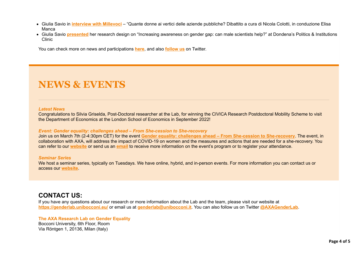- Giulia Savio in **[interview with Millevoci](https://eur03.safelinks.protection.outlook.com/?url=https%3A%2F%2Fwww.rsi.ch%2Frete-uno%2Fprogrammi%2Fintrattenimento%2Fmillevoci%2FQuante-donne-ai-vertici-delle-aziende-pubbliche-3.3-14972739.html&data=04%7C01%7Cximena.calo%40unibocconi.it%7C16282814d5da43fff93008d9facaffa6%7C6bf3b57a9fb447c29ada51156518f52f%7C1%7C0%7C637816572054540326%7CUnknown%7CTWFpbGZsb3d8eyJWIjoiMC4wLjAwMDAiLCJQIjoiV2luMzIiLCJBTiI6Ik1haWwiLCJXVCI6Mn0%3D%7C3000&sdata=xMRTSmNoPkOYHqKXw85bGQK5gvNvGXqYDLloVeFTx5Q%3D&reserved=0)** "Quante donne ai vertici delle aziende pubbliche? Dibattito a cura di Nicola Colotti, in conduzione Elisa Manca
- Giulia Savio **[presented](https://genderlab.unibocconi.eu/news-and-participations)** her research design on "Increasing awareness on gender gap: can male scientists help?" at Dondena's Politics & Institutions Clinic

You can check more on news and participations **[here](https://genderlab.unibocconi.eu/news-and-participations)**, and also **[follow us](https://eur03.safelinks.protection.outlook.com/?url=https%3A%2F%2Ftwitter.com%2FAxaGenderLab&data=04%7C01%7Cximena.calo%40unibocconi.it%7C16282814d5da43fff93008d9facaffa6%7C6bf3b57a9fb447c29ada51156518f52f%7C1%7C0%7C637816572054540326%7CUnknown%7CTWFpbGZsb3d8eyJWIjoiMC4wLjAwMDAiLCJQIjoiV2luMzIiLCJBTiI6Ik1haWwiLCJXVCI6Mn0%3D%7C3000&sdata=4EiVJhasPHA7s2HydNQ2RjiRmiW257C%2FcnOPDn3MndM%3D&reserved=0)** on Twitter.

## **NEWS & EVENTS**

#### *Latest News*

Congratulations to Silvia Griselda, Post-Doctoral researcher at the Lab, for winning the CIVICA Research Postdoctoral Mobility Scheme to visit the Department of Economics at the London School of Economics in September 2022!

#### *Event: Gender equality: challenges ahead – From She-cession to She-recovery*

Join us on March 7th (2-4:30pm CET) for the event **[Gender equality: challenges ahead – From She-cession to She-recovery](https://www.unibocconi.it/wps/wcm/connect/ev/Eventi/Eventi+Bocconi/AXA+RESEARCH+LAB+ON+GENDER+EQUALITY)**. The event, in collaboration with AXA, will address the impact of COVID-19 on women and the measures and actions that are needed for a she-recovery. You can refer to our **[website](https://www.unibocconi.it/wps/wcm/connect/ev/Eventi/Eventi+Bocconi/AXA+RESEARCH+LAB+ON+GENDER+EQUALITY)** or send us an **[email](https://genderlab.unibocconi.eu/contacts)** to receive more information on the event's program or to register your attendance.

#### *Seminar Series*

We host a seminar series, typically on Tuesdays. We have online, hybrid, and in-person events. For more information you can contact us or access our **[website](https://genderlab.unibocconi.eu/lab-events)**.

### **CONTACT US:**

If you have any questions about our research or more information about the Lab and the team, please visit our website at **<https://genderlab.unibocconi.eu/>** or email us at **[genderlab@unibocconi.it](mailto:genderlab@unibocconi.it)**. You can also follow us on Twitter **[@AXAGenderLab](https://eur03.safelinks.protection.outlook.com/?url=https%3A%2F%2Ftwitter.com%2FAxaGenderLab&data=04%7C01%7Cximena.calo%40unibocconi.it%7C16282814d5da43fff93008d9facaffa6%7C6bf3b57a9fb447c29ada51156518f52f%7C1%7C0%7C637816572054540326%7CUnknown%7CTWFpbGZsb3d8eyJWIjoiMC4wLjAwMDAiLCJQIjoiV2luMzIiLCJBTiI6Ik1haWwiLCJXVCI6Mn0%3D%7C3000&sdata=4EiVJhasPHA7s2HydNQ2RjiRmiW257C%2FcnOPDn3MndM%3D&reserved=0)**.

#### **The AXA Research Lab on Gender Equality**  Bocconi University, 6th Floor, Room

Via Röntgen 1, 20136, Milan (Italy)